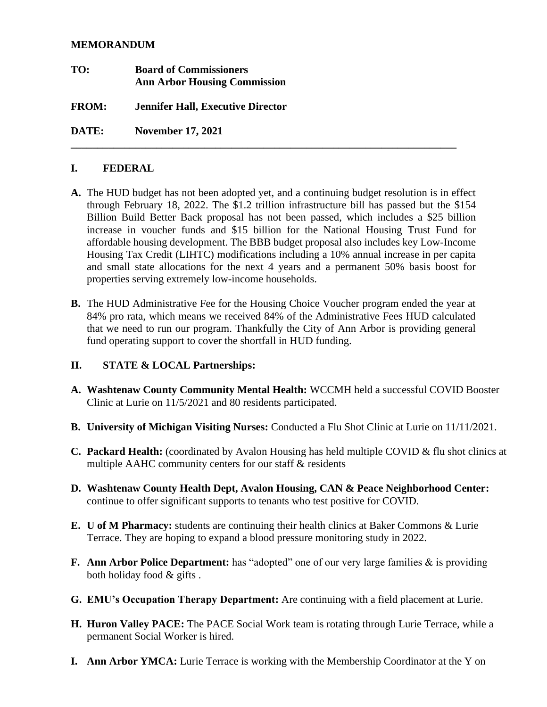#### **MEMORANDUM**

**TO: Board of Commissioners Ann Arbor Housing Commission FROM: Jennifer Hall, Executive Director**

**DATE: November 17, 2021**

### **I. FEDERAL**

**A.** The HUD budget has not been adopted yet, and a continuing budget resolution is in effect through February 18, 2022. The \$1.2 trillion infrastructure bill has passed but the \$154 Billion Build Better Back proposal has not been passed, which includes a \$25 billion increase in voucher funds and \$15 billion for the National Housing Trust Fund for affordable housing development. The BBB budget proposal also includes key Low-Income Housing Tax Credit (LIHTC) modifications including a 10% annual increase in per capita and small state allocations for the next 4 years and a permanent 50% basis boost for properties serving extremely low-income households.

**\_\_\_\_\_\_\_\_\_\_\_\_\_\_\_\_\_\_\_\_\_\_\_\_\_\_\_\_\_\_\_\_\_\_\_\_\_\_\_\_\_\_\_\_\_\_\_\_\_\_\_\_\_\_\_\_\_\_\_\_\_\_\_\_\_\_\_\_\_\_\_\_**

**B.** The HUD Administrative Fee for the Housing Choice Voucher program ended the year at 84% pro rata, which means we received 84% of the Administrative Fees HUD calculated that we need to run our program. Thankfully the City of Ann Arbor is providing general fund operating support to cover the shortfall in HUD funding.

#### **II. STATE & LOCAL Partnerships:**

- **A. Washtenaw County Community Mental Health:** WCCMH held a successful COVID Booster Clinic at Lurie on 11/5/2021 and 80 residents participated.
- **B. University of Michigan Visiting Nurses:** Conducted a Flu Shot Clinic at Lurie on 11/11/2021.
- **C. Packard Health:** (coordinated by Avalon Housing has held multiple COVID & flu shot clinics at multiple AAHC community centers for our staff & residents
- **D. Washtenaw County Health Dept, Avalon Housing, CAN & Peace Neighborhood Center:** continue to offer significant supports to tenants who test positive for COVID.
- **E. U of M Pharmacy:** students are continuing their health clinics at Baker Commons & Lurie Terrace. They are hoping to expand a blood pressure monitoring study in 2022.
- **F. Ann Arbor Police Department:** has "adopted" one of our very large families & is providing both holiday food & gifts .
- **G. EMU's Occupation Therapy Department:** Are continuing with a field placement at Lurie.
- **H. Huron Valley PACE:** The PACE Social Work team is rotating through Lurie Terrace, while a permanent Social Worker is hired.
- **I. Ann Arbor YMCA:** Lurie Terrace is working with the Membership Coordinator at the Y on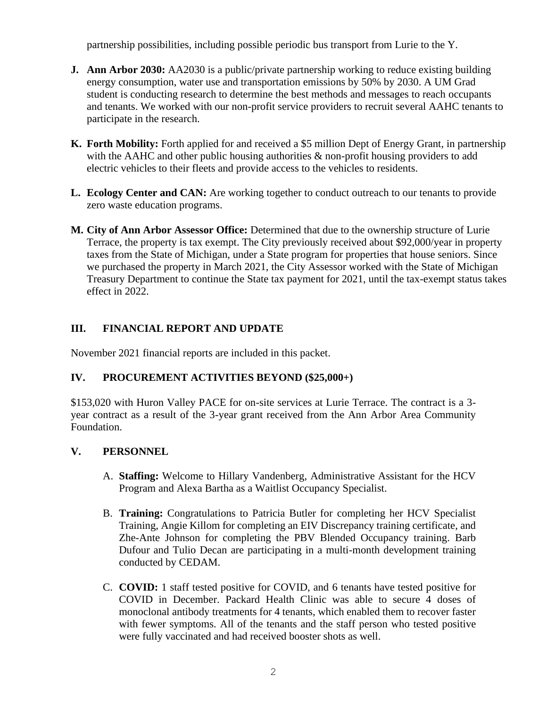partnership possibilities, including possible periodic bus transport from Lurie to the Y.

- **J. Ann Arbor 2030:** AA2030 is a public/private partnership working to reduce existing building energy consumption, water use and transportation emissions by 50% by 2030. A UM Grad student is conducting research to determine the best methods and messages to reach occupants and tenants. We worked with our non-profit service providers to recruit several AAHC tenants to participate in the research.
- **K. Forth Mobility:** Forth applied for and received a \$5 million Dept of Energy Grant, in partnership with the AAHC and other public housing authorities  $\&$  non-profit housing providers to add electric vehicles to their fleets and provide access to the vehicles to residents.
- **L. Ecology Center and CAN:** Are working together to conduct outreach to our tenants to provide zero waste education programs.
- **M. City of Ann Arbor Assessor Office:** Determined that due to the ownership structure of Lurie Terrace, the property is tax exempt. The City previously received about \$92,000/year in property taxes from the State of Michigan, under a State program for properties that house seniors. Since we purchased the property in March 2021, the City Assessor worked with the State of Michigan Treasury Department to continue the State tax payment for 2021, until the tax-exempt status takes effect in 2022.

# **III. FINANCIAL REPORT AND UPDATE**

November 2021 financial reports are included in this packet.

## **IV. PROCUREMENT ACTIVITIES BEYOND (\$25,000+)**

\$153,020 with Huron Valley PACE for on-site services at Lurie Terrace. The contract is a 3 year contract as a result of the 3-year grant received from the Ann Arbor Area Community Foundation.

## **V. PERSONNEL**

- A. **Staffing:** Welcome to Hillary Vandenberg, Administrative Assistant for the HCV Program and Alexa Bartha as a Waitlist Occupancy Specialist.
- B. **Training:** Congratulations to Patricia Butler for completing her HCV Specialist Training, Angie Killom for completing an EIV Discrepancy training certificate, and Zhe-Ante Johnson for completing the PBV Blended Occupancy training. Barb Dufour and Tulio Decan are participating in a multi-month development training conducted by CEDAM.
- C. **COVID:** 1 staff tested positive for COVID, and 6 tenants have tested positive for COVID in December. Packard Health Clinic was able to secure 4 doses of monoclonal antibody treatments for 4 tenants, which enabled them to recover faster with fewer symptoms. All of the tenants and the staff person who tested positive were fully vaccinated and had received booster shots as well.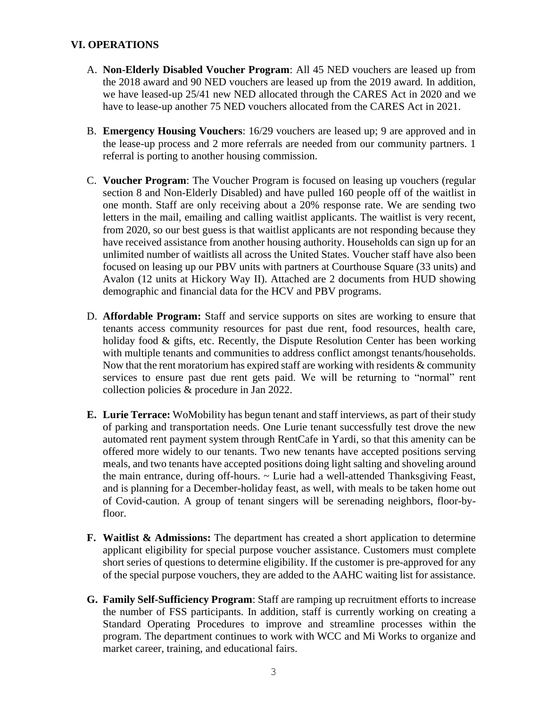### **VI. OPERATIONS**

- A. **Non-Elderly Disabled Voucher Program**: All 45 NED vouchers are leased up from the 2018 award and 90 NED vouchers are leased up from the 2019 award. In addition, we have leased-up 25/41 new NED allocated through the CARES Act in 2020 and we have to lease-up another 75 NED vouchers allocated from the CARES Act in 2021.
- B. **Emergency Housing Vouchers**: 16/29 vouchers are leased up; 9 are approved and in the lease-up process and 2 more referrals are needed from our community partners. 1 referral is porting to another housing commission.
- C. **Voucher Program**: The Voucher Program is focused on leasing up vouchers (regular section 8 and Non-Elderly Disabled) and have pulled 160 people off of the waitlist in one month. Staff are only receiving about a 20% response rate. We are sending two letters in the mail, emailing and calling waitlist applicants. The waitlist is very recent, from 2020, so our best guess is that waitlist applicants are not responding because they have received assistance from another housing authority. Households can sign up for an unlimited number of waitlists all across the United States. Voucher staff have also been focused on leasing up our PBV units with partners at Courthouse Square (33 units) and Avalon (12 units at Hickory Way II). Attached are 2 documents from HUD showing demographic and financial data for the HCV and PBV programs.
- D. **Affordable Program:** Staff and service supports on sites are working to ensure that tenants access community resources for past due rent, food resources, health care, holiday food & gifts, etc. Recently, the Dispute Resolution Center has been working with multiple tenants and communities to address conflict amongst tenants/households. Now that the rent moratorium has expired staff are working with residents  $\&$  community services to ensure past due rent gets paid. We will be returning to "normal" rent collection policies & procedure in Jan 2022.
- **E. Lurie Terrace:** WoMobility has begun tenant and staff interviews, as part of their study of parking and transportation needs. One Lurie tenant successfully test drove the new automated rent payment system through RentCafe in Yardi, so that this amenity can be offered more widely to our tenants. Two new tenants have accepted positions serving meals, and two tenants have accepted positions doing light salting and shoveling around the main entrance, during off-hours. ~ Lurie had a well-attended Thanksgiving Feast, and is planning for a December-holiday feast, as well, with meals to be taken home out of Covid-caution. A group of tenant singers will be serenading neighbors, floor-byfloor.
- **F. Waitlist & Admissions:** The department has created a short application to determine applicant eligibility for special purpose voucher assistance. Customers must complete short series of questions to determine eligibility. If the customer is pre-approved for any of the special purpose vouchers, they are added to the AAHC waiting list for assistance.
- **G. Family Self-Sufficiency Program**: Staff are ramping up recruitment efforts to increase the number of FSS participants. In addition, staff is currently working on creating a Standard Operating Procedures to improve and streamline processes within the program. The department continues to work with WCC and Mi Works to organize and market career, training, and educational fairs.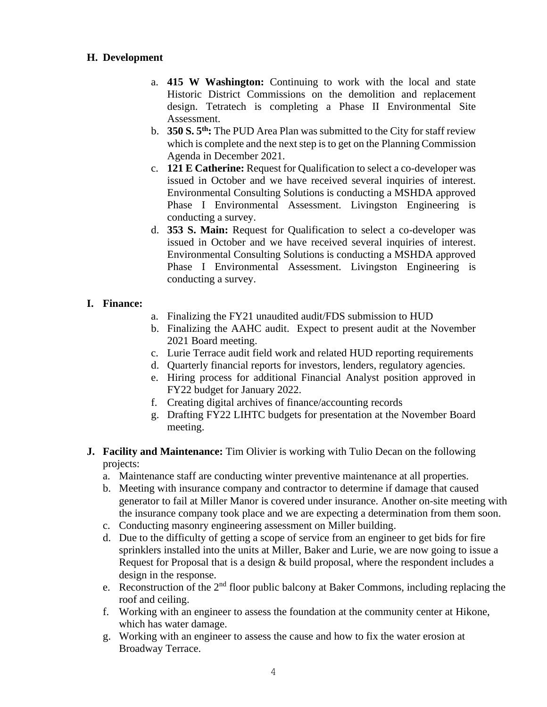### **H. Development**

- a. **415 W Washington:** Continuing to work with the local and state Historic District Commissions on the demolition and replacement design. Tetratech is completing a Phase II Environmental Site Assessment.
- b. **350 S. 5th:** The PUD Area Plan was submitted to the City for staff review which is complete and the next step is to get on the Planning Commission Agenda in December 2021.
- c. **121 E Catherine:** Request for Qualification to select a co-developer was issued in October and we have received several inquiries of interest. Environmental Consulting Solutions is conducting a MSHDA approved Phase I Environmental Assessment. Livingston Engineering is conducting a survey.
- d. **353 S. Main:** Request for Qualification to select a co-developer was issued in October and we have received several inquiries of interest. Environmental Consulting Solutions is conducting a MSHDA approved Phase I Environmental Assessment. Livingston Engineering is conducting a survey.

### **I. Finance:**

- a. Finalizing the FY21 unaudited audit/FDS submission to HUD
- b. Finalizing the AAHC audit. Expect to present audit at the November 2021 Board meeting.
- c. Lurie Terrace audit field work and related HUD reporting requirements
- d. Quarterly financial reports for investors, lenders, regulatory agencies.
- e. Hiring process for additional Financial Analyst position approved in FY22 budget for January 2022.
- f. Creating digital archives of finance/accounting records
- g. Drafting FY22 LIHTC budgets for presentation at the November Board meeting.
- **J. Facility and Maintenance:** Tim Olivier is working with Tulio Decan on the following projects:
	- a. Maintenance staff are conducting winter preventive maintenance at all properties.
	- b. Meeting with insurance company and contractor to determine if damage that caused generator to fail at Miller Manor is covered under insurance. Another on-site meeting with the insurance company took place and we are expecting a determination from them soon.
	- c. Conducting masonry engineering assessment on Miller building.
	- d. Due to the difficulty of getting a scope of service from an engineer to get bids for fire sprinklers installed into the units at Miller, Baker and Lurie, we are now going to issue a Request for Proposal that is a design & build proposal, where the respondent includes a design in the response.
	- e. Reconstruction of the  $2<sup>nd</sup>$  floor public balcony at Baker Commons, including replacing the roof and ceiling.
	- f. Working with an engineer to assess the foundation at the community center at Hikone, which has water damage.
	- g. Working with an engineer to assess the cause and how to fix the water erosion at Broadway Terrace.